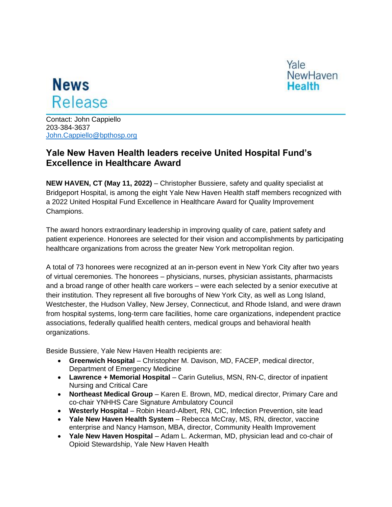

Yale **NewHaven Health** 

Contact: John Cappiello 203-384-3637 [John.Cappiello@bpthosp.org](mailto:John.Cappiello@bpthosp.org)

## **Yale New Haven Health leaders receive United Hospital Fund's Excellence in Healthcare Award**

**NEW HAVEN, CT (May 11, 2022)** – Christopher Bussiere, safety and quality specialist at Bridgeport Hospital, is among the eight Yale New Haven Health staff members recognized with a 2022 United Hospital Fund Excellence in Healthcare Award for Quality Improvement Champions.

The award honors extraordinary leadership in improving quality of care, patient safety and patient experience. Honorees are selected for their vision and accomplishments by participating healthcare organizations from across the greater New York metropolitan region.

A total of 73 honorees were recognized at an in-person event in New York City after two years of virtual ceremonies. The honorees – physicians, nurses, physician assistants, pharmacists and a broad range of other health care workers – were each selected by a senior executive at their institution. They represent all five boroughs of New York City, as well as Long Island, Westchester, the Hudson Valley, New Jersey, Connecticut, and Rhode Island, and were drawn from hospital systems, long-term care facilities, home care organizations, independent practice associations, federally qualified health centers, medical groups and behavioral health organizations.

Beside Bussiere, Yale New Haven Health recipients are:

- **Greenwich Hospital** Christopher M. Davison, MD, FACEP, medical director, Department of Emergency Medicine
- **Lawrence + Memorial Hospital** Carin Gutelius, MSN, RN-C, director of inpatient Nursing and Critical Care
- **Northeast Medical Group** Karen E. Brown, MD, medical director, Primary Care and co-chair YNHHS Care Signature Ambulatory Council
- **Westerly Hospital** Robin Heard-Albert, RN, CIC, Infection Prevention, site lead
- **Yale New Haven Health System** Rebecca McCray, MS, RN, director, vaccine enterprise and Nancy Hamson, MBA, director, Community Health Improvement
- **Yale New Haven Hospital** Adam L. Ackerman, MD, physician lead and co-chair of Opioid Stewardship, Yale New Haven Health